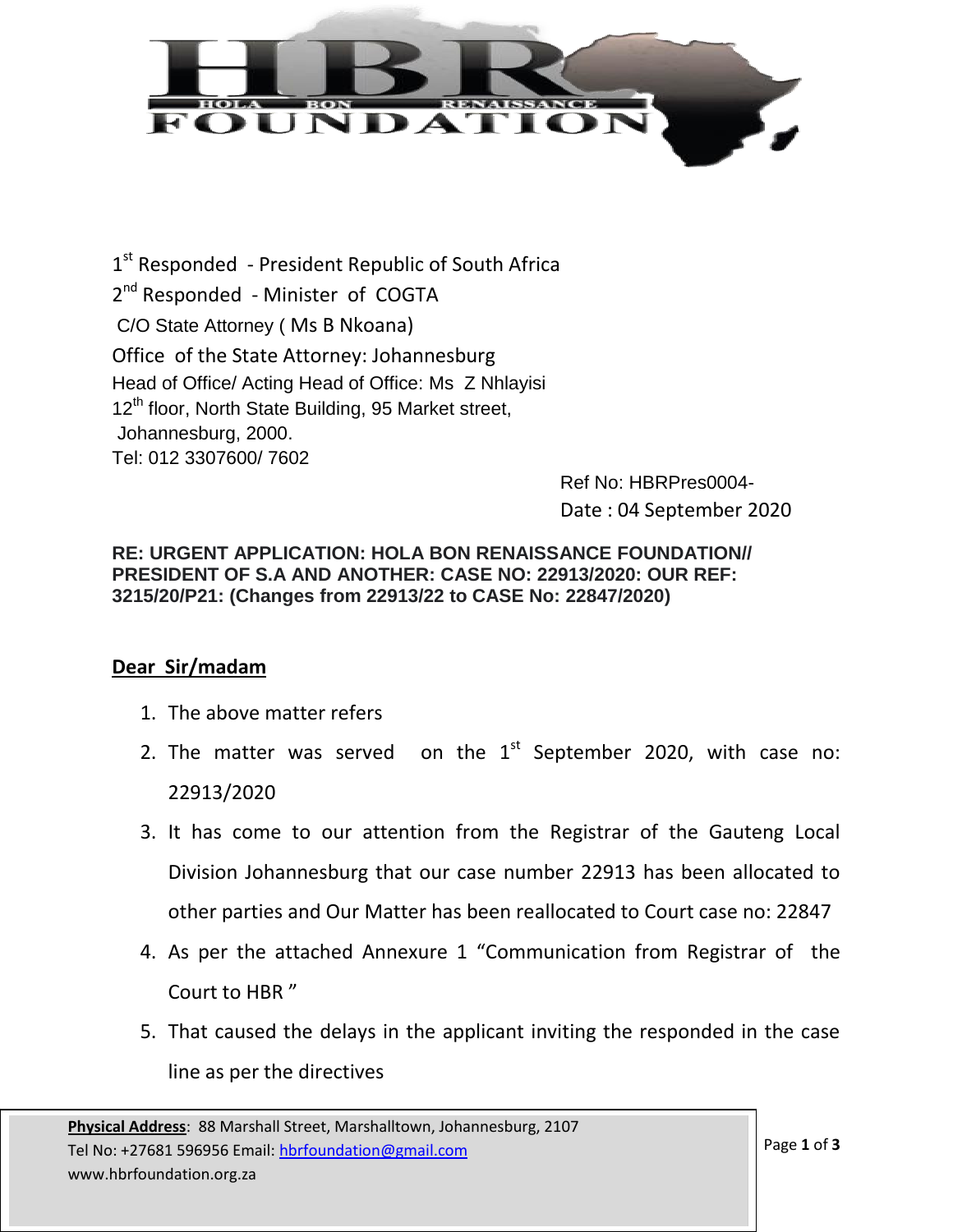

1<sup>st</sup> Responded - President Republic of South Africa 2<sup>nd</sup> Responded - Minister of COGTA C/O State Attorney ( Ms B Nkoana) Office of the State Attorney: Johannesburg Head of Office/ Acting Head of Office: Ms Z Nhlayisi 12<sup>th</sup> floor, North State Building, 95 Market street, Johannesburg, 2000. Tel: 012 3307600/ 7602

Ref No: HBRPres0004- Date : 04 September 2020

## **RE: URGENT APPLICATION: HOLA BON RENAISSANCE FOUNDATION// PRESIDENT OF S.A AND ANOTHER: CASE NO: 22913/2020: OUR REF: 3215/20/P21: (Changes from 22913/22 to CASE No: 22847/2020)**

## **Dear Sir/madam**

- 1. The above matter refers
- 2. The matter was served on the  $1<sup>st</sup>$  September 2020, with case no: 22913/2020
- 3. It has come to our attention from the Registrar of the Gauteng Local Division Johannesburg that our case number 22913 has been allocated to other parties and Our Matter has been reallocated to Court case no: 22847
- 4. As per the attached Annexure 1 "Communication from Registrar of the Court to HBR "
- 5. That caused the delays in the applicant inviting the responded in the case line as per the directives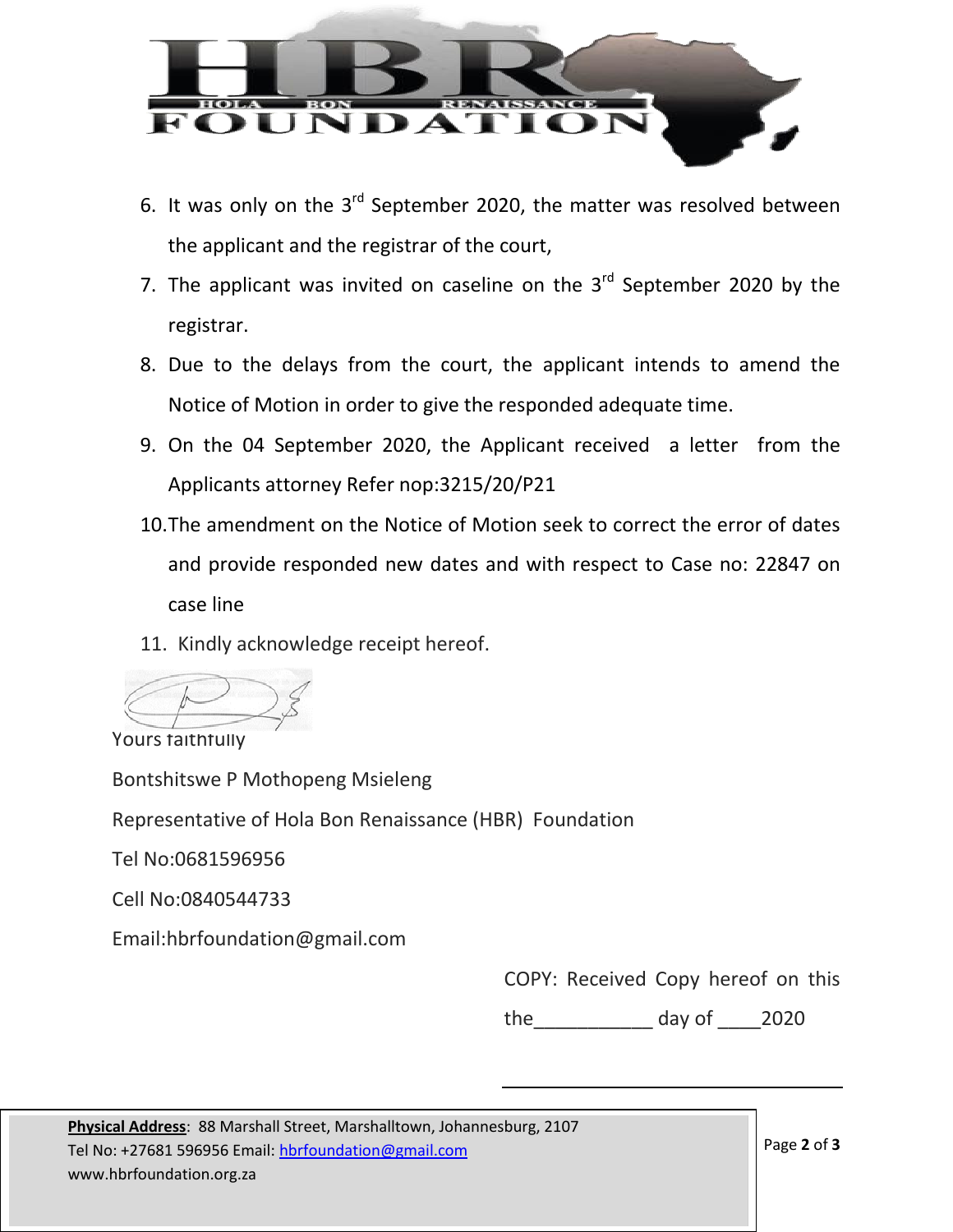

- 6. It was only on the  $3^{rd}$  September 2020, the matter was resolved between the applicant and the registrar of the court,
- 7. The applicant was invited on caseline on the  $3<sup>rd</sup>$  September 2020 by the registrar.
- 8. Due to the delays from the court, the applicant intends to amend the Notice of Motion in order to give the responded adequate time.
- 9. On the 04 September 2020, the Applicant received a letter from the Applicants attorney Refer nop:3215/20/P21
- 10.The amendment on the Notice of Motion seek to correct the error of dates and provide responded new dates and with respect to Case no: 22847 on case line
- 11. Kindly acknowledge receipt hereof.

Yours faithfully Bontshitswe P Mothopeng Msieleng Representative of Hola Bon Renaissance (HBR) Foundation Tel No:0681596956 Cell No:0840544733 Email:hbrfoundation@gmail.com

COPY: Received Copy hereof on this

the\_\_\_\_\_\_\_\_\_\_\_ day of \_\_\_\_2020